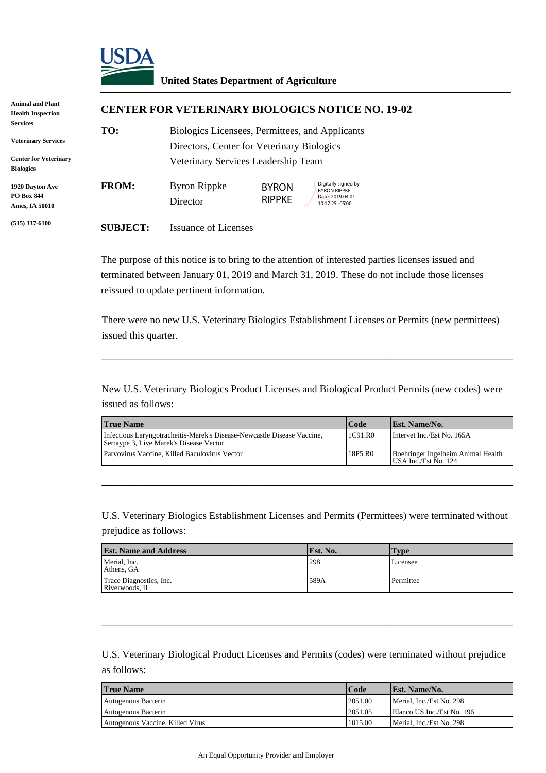

#### **United States Department of Agriculture**

| <b>Animal and Plant</b><br><b>Health Inspection</b>    |                                                                                                                | <b>CENTER FOR VETERINARY BIOLOGICS NOTICE NO. 19-02</b><br>Biologics Licensees, Permittees, and Applicants                                                                                                                      |                                            |                                                                                     |                                             |  |
|--------------------------------------------------------|----------------------------------------------------------------------------------------------------------------|---------------------------------------------------------------------------------------------------------------------------------------------------------------------------------------------------------------------------------|--------------------------------------------|-------------------------------------------------------------------------------------|---------------------------------------------|--|
| Services                                               | TO:                                                                                                            |                                                                                                                                                                                                                                 |                                            |                                                                                     |                                             |  |
| <b>Veterinary Services</b>                             |                                                                                                                | Directors, Center for Veterinary Biologics                                                                                                                                                                                      |                                            |                                                                                     |                                             |  |
| <b>Center for Veterinary</b><br><b>Biologics</b>       |                                                                                                                | Veterinary Services Leadership Team                                                                                                                                                                                             |                                            |                                                                                     |                                             |  |
| 1920 Dayton Ave<br><b>PO Box 844</b><br>Ames, IA 50010 | <b>FROM:</b>                                                                                                   | <b>Byron Rippke</b><br>Director                                                                                                                                                                                                 | <b>BYRON</b><br><b>RIPPKE</b>              | Digitally signed by<br><b>BYRON RIPPKE</b><br>Date: 2019.04.01<br>10:17:25 - 05'00' |                                             |  |
| $(515)$ 337-6100                                       | <b>SUBJECT:</b>                                                                                                | <b>Issuance of Licenses</b>                                                                                                                                                                                                     |                                            |                                                                                     |                                             |  |
|                                                        |                                                                                                                | The purpose of this notice is to bring to the attention of interested parties licenses issue<br>terminated between January 01, 2019 and March 31, 2019. These do not include those<br>reissued to update pertinent information. |                                            |                                                                                     |                                             |  |
|                                                        | issued this quarter.                                                                                           | There were no new U.S. Veterinary Biologics Establishment Licenses or Permits (new                                                                                                                                              |                                            |                                                                                     |                                             |  |
|                                                        | New U.S. Veterinary Biologics Product Licenses and Biological Product Permits (new<br>issued as follows:       |                                                                                                                                                                                                                                 |                                            |                                                                                     |                                             |  |
|                                                        | <b>True Name</b>                                                                                               |                                                                                                                                                                                                                                 |                                            | Code                                                                                | Est. Name/No.                               |  |
|                                                        |                                                                                                                | Infectious Laryngotracheitis-Marek's Disease-Newcastle Disease Vaccine,<br>Serotype 3, Live Marek's Disease Vector                                                                                                              |                                            |                                                                                     | Intervet Inc./Est No.                       |  |
|                                                        |                                                                                                                | Parvovirus Vaccine, Killed Baculovirus Vector<br>18P5.R0                                                                                                                                                                        |                                            |                                                                                     | Boehringer Ingelhei:<br>USA Inc./Est No. 12 |  |
|                                                        | prejudice as follows:<br><b>Est. Name and Address</b><br>Merial, Inc.<br>Athens, GA<br>Trace Diagnostics, Inc. | U.S. Veterinary Biologics Establishment Licenses and Permits (Permittees) were termi                                                                                                                                            |                                            | Est. No.<br>298<br>589A                                                             | <b>Type</b><br>Licensee<br>Permittee        |  |
|                                                        | Riverwoods, IL<br>as follows:                                                                                  | U.S. Veterinary Biological Product Licenses and Permits (codes) were terminated with                                                                                                                                            |                                            |                                                                                     |                                             |  |
|                                                        | <b>True Name</b>                                                                                               |                                                                                                                                                                                                                                 |                                            | Code                                                                                | Est. Name/No.                               |  |
|                                                        | Autogenous Bacterin                                                                                            |                                                                                                                                                                                                                                 |                                            | 2051.00                                                                             | Merial, Inc./Est No.                        |  |
|                                                        | Autogenous Bacterin                                                                                            |                                                                                                                                                                                                                                 |                                            | 2051.05                                                                             | Elanco US Inc./Est I                        |  |
|                                                        | Autogenous Vaccine, Killed Virus                                                                               |                                                                                                                                                                                                                                 |                                            | 1015.00                                                                             | Merial, Inc./Est No.                        |  |
|                                                        |                                                                                                                |                                                                                                                                                                                                                                 | An Equal Opportunity Provider and Employer |                                                                                     |                                             |  |

The purpose of this notice is to bring to the attention of interested parties licenses issued and terminated between January 01, 2019 and March 31, 2019. These do not include those licenses reissued to update pertinent information.

There were no new U.S. Veterinary Biologics Establishment Licenses or Permits (new permittees) issued this quarter.

\_\_\_\_\_\_\_\_\_\_\_\_\_\_\_\_\_\_\_\_\_\_\_\_\_\_\_\_\_\_\_\_\_\_\_\_\_\_\_\_\_\_\_\_\_\_\_\_\_\_\_\_\_\_\_\_\_\_\_\_\_\_\_\_

New U.S. Veterinary Biologics Product Licenses and Biological Product Permits (new codes) were issued as follows:

| <b>True Name</b>                                                                                                   | Code    | <b>Est. Name/No.</b>                                       |
|--------------------------------------------------------------------------------------------------------------------|---------|------------------------------------------------------------|
| Infectious Laryngotracheitis-Marek's Disease-Newcastle Disease Vaccine,<br>Serotype 3, Live Marek's Disease Vector | 1C91.R0 | Intervet Inc./Est No. 165A                                 |
| Parvovirus Vaccine. Killed Baculovirus Vector                                                                      | 18P5.R0 | Boehringer Ingelheim Animal Health<br>USA Inc./Est No. 124 |

\_\_\_\_\_\_\_\_\_\_\_\_\_\_\_\_\_\_\_\_\_\_\_\_\_\_\_\_\_\_\_\_\_\_\_\_\_\_\_\_\_\_\_\_\_\_\_\_\_\_\_\_\_\_\_\_\_\_\_\_\_\_\_\_

U.S. Veterinary Biologics Establishment Licenses and Permits (Permittees) were terminated without prejudice as follows:

| <b>Est. Name and Address</b>              | Est. No. | Type      |
|-------------------------------------------|----------|-----------|
| Merial, Inc.<br>Athens. GA                | 298      | Licensee  |
| Trace Diagnostics, Inc.<br>Riverwoods, IL | 589A     | Permittee |

\_\_\_\_\_\_\_\_\_\_\_\_\_\_\_\_\_\_\_\_\_\_\_\_\_\_\_\_\_\_\_\_\_\_\_\_\_\_\_\_\_\_\_\_\_\_\_\_\_\_\_\_\_\_\_\_\_\_\_\_\_\_\_\_

U.S. Veterinary Biological Product Licenses and Permits (codes) were terminated without prejudice as follows:

| <b>True Name</b>                 | Code    | <b>Est. Name/No.</b>       |
|----------------------------------|---------|----------------------------|
| Autogenous Bacterin              | 2051.00 | Merial. Inc./Est No. 298   |
| Autogenous Bacterin              | 2051.05 | Elanco US Inc./Est No. 196 |
| Autogenous Vaccine, Killed Virus | 1015.00 | Merial, Inc./Est No. 298   |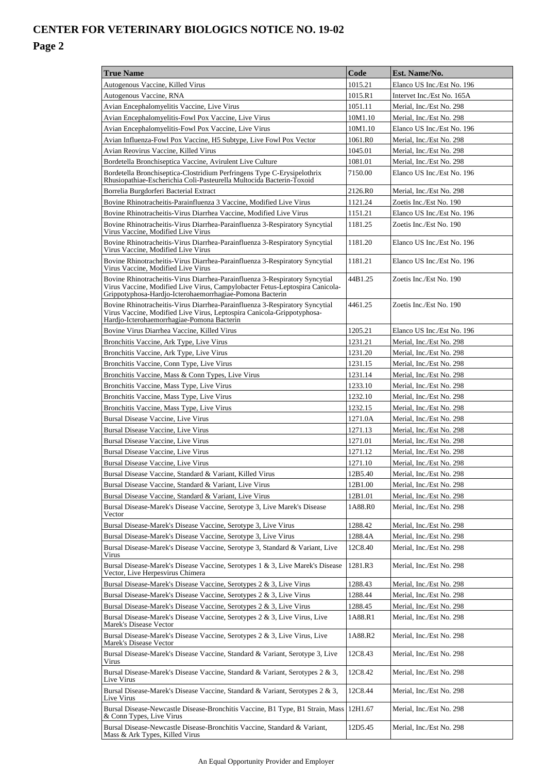| <b>True Name</b>                                                                                                                                                                                                        | Code               | Est. Name/No.                                         |
|-------------------------------------------------------------------------------------------------------------------------------------------------------------------------------------------------------------------------|--------------------|-------------------------------------------------------|
| Autogenous Vaccine, Killed Virus                                                                                                                                                                                        | 1015.21            | Elanco US Inc./Est No. 196                            |
| Autogenous Vaccine, RNA                                                                                                                                                                                                 | 1015.R1            | Intervet Inc./Est No. 165A                            |
| Avian Encephalomyelitis Vaccine, Live Virus                                                                                                                                                                             | 1051.11            | Merial, Inc./Est No. 298                              |
| Avian Encephalomyelitis-Fowl Pox Vaccine, Live Virus                                                                                                                                                                    | 10M1.10            | Merial, Inc./Est No. 298                              |
| Avian Encephalomyelitis-Fowl Pox Vaccine, Live Virus                                                                                                                                                                    | 10M1.10            | Elanco US Inc./Est No. 196                            |
| Avian Influenza-Fowl Pox Vaccine, H5 Subtype, Live Fowl Pox Vector                                                                                                                                                      | 1061.R0            | Merial, Inc./Est No. 298                              |
| Avian Reovirus Vaccine, Killed Virus                                                                                                                                                                                    | 1045.01            | Merial, Inc./Est No. 298                              |
| Bordetella Bronchiseptica Vaccine, Avirulent Live Culture                                                                                                                                                               | 1081.01            | Merial, Inc./Est No. 298                              |
| Bordetella Bronchiseptica-Clostridium Perfringens Type C-Erysipelothrix                                                                                                                                                 | 7150.00            | Elanco US Inc./Est No. 196                            |
| Rhusiopathiae-Escherichia Coli-Pasteurella Multocida Bacterin-Toxoid                                                                                                                                                    |                    |                                                       |
| Borrelia Burgdorferi Bacterial Extract                                                                                                                                                                                  | 2126.R0            | Merial, Inc./Est No. 298                              |
| Bovine Rhinotracheitis-Parainfluenza 3 Vaccine, Modified Live Virus<br>Bovine Rhinotracheitis-Virus Diarrhea Vaccine, Modified Live Virus                                                                               | 1121.24<br>1151.21 | Zoetis Inc./Est No. 190                               |
| Bovine Rhinotracheitis-Virus Diarrhea-Parainfluenza 3-Respiratory Syncytial                                                                                                                                             | 1181.25            | Elanco US Inc./Est No. 196<br>Zoetis Inc./Est No. 190 |
| Virus Vaccine, Modified Live Virus                                                                                                                                                                                      |                    |                                                       |
| Bovine Rhinotracheitis-Virus Diarrhea-Parainfluenza 3-Respiratory Syncytial<br>Virus Vaccine, Modified Live Virus                                                                                                       | 1181.20            | Elanco US Inc./Est No. 196                            |
| Bovine Rhinotracheitis-Virus Diarrhea-Parainfluenza 3-Respiratory Syncytial<br>Virus Vaccine, Modified Live Virus                                                                                                       | 1181.21            | Elanco US Inc./Est No. 196                            |
| Bovine Rhinotracheitis-Virus Diarrhea-Parainfluenza 3-Respiratory Syncytial<br>Virus Vaccine, Modified Live Virus, Campylobacter Fetus-Leptospira Canicola-<br>Grippotyphosa-Hardjo-Icterohaemorrhagiae-Pomona Bacterin | 44B1.25            | Zoetis Inc./Est No. 190                               |
| Bovine Rhinotracheitis-Virus Diarrhea-Parainfluenza 3-Respiratory Syncytial<br>Virus Vaccine, Modified Live Virus, Leptospira Canicola-Grippotyphosa-<br>Hardjo-Icterohaemorrhagiae-Pomona Bacterin                     | 4461.25            | Zoetis Inc./Est No. 190                               |
| Bovine Virus Diarrhea Vaccine, Killed Virus                                                                                                                                                                             | 1205.21            | Elanco US Inc./Est No. 196                            |
| Bronchitis Vaccine, Ark Type, Live Virus                                                                                                                                                                                | 1231.21            | Merial, Inc./Est No. 298                              |
| Bronchitis Vaccine, Ark Type, Live Virus                                                                                                                                                                                | 1231.20            | Merial, Inc./Est No. 298                              |
| Bronchitis Vaccine, Conn Type, Live Virus                                                                                                                                                                               | 1231.15            | Merial, Inc./Est No. 298                              |
| Bronchitis Vaccine, Mass & Conn Types, Live Virus                                                                                                                                                                       | 1231.14            | Merial, Inc./Est No. 298                              |
| Bronchitis Vaccine, Mass Type, Live Virus                                                                                                                                                                               | 1233.10            | Merial, Inc./Est No. 298                              |
| Bronchitis Vaccine, Mass Type, Live Virus                                                                                                                                                                               | 1232.10            | Merial, Inc./Est No. 298                              |
| Bronchitis Vaccine, Mass Type, Live Virus                                                                                                                                                                               | 1232.15            | Merial, Inc./Est No. 298                              |
| <b>Bursal Disease Vaccine, Live Virus</b>                                                                                                                                                                               | 1271.0A            | Merial, Inc./Est No. 298                              |
| Bursal Disease Vaccine, Live Virus                                                                                                                                                                                      | 1271.13            | Merial, Inc./Est No. 298                              |
| Bursal Disease Vaccine, Live Virus                                                                                                                                                                                      | 1271.01            | Merial, Inc./Est No. 298                              |
| Bursal Disease Vaccine, Live Virus                                                                                                                                                                                      | 1271.12            | Merial, Inc./Est No. 298                              |
| Bursal Disease Vaccine, Live Virus                                                                                                                                                                                      | 1271.10            | Merial, Inc./Est No. 298                              |
| Bursal Disease Vaccine. Standard & Variant. Killed Virus                                                                                                                                                                | 12B5.40            | Merial. Inc./Est No. 298                              |
| Bursal Disease Vaccine, Standard & Variant, Live Virus                                                                                                                                                                  | 12B1.00            | Merial, Inc./Est No. 298                              |
| Bursal Disease Vaccine, Standard & Variant, Live Virus                                                                                                                                                                  | 12B1.01            | Merial, Inc./Est No. 298                              |
| Bursal Disease-Marek's Disease Vaccine, Serotype 3, Live Marek's Disease<br>Vector                                                                                                                                      | 1A88.R0            | Merial, Inc./Est No. 298                              |
| Bursal Disease-Marek's Disease Vaccine, Serotype 3, Live Virus                                                                                                                                                          | 1288.42            | Merial, Inc./Est No. 298                              |
| Bursal Disease-Marek's Disease Vaccine, Serotype 3, Live Virus                                                                                                                                                          | 1288.4A            | Merial, Inc./Est No. 298                              |
| Bursal Disease-Marek's Disease Vaccine, Serotype 3, Standard & Variant, Live<br>Virus                                                                                                                                   | 12C8.40            | Merial, Inc./Est No. 298                              |
| Bursal Disease-Marek's Disease Vaccine, Serotypes 1 & 3, Live Marek's Disease<br>Vector, Live Herpesvirus Chimera                                                                                                       | 1281.R3            | Merial, Inc./Est No. 298                              |
| Bursal Disease-Marek's Disease Vaccine, Serotypes 2 & 3, Live Virus                                                                                                                                                     | 1288.43            | Merial, Inc./Est No. 298                              |
| Bursal Disease-Marek's Disease Vaccine, Serotypes 2 & 3, Live Virus                                                                                                                                                     | 1288.44            | Merial, Inc./Est No. 298                              |
| Bursal Disease-Marek's Disease Vaccine, Serotypes 2 & 3, Live Virus                                                                                                                                                     | 1288.45            | Merial, Inc./Est No. 298                              |
| Bursal Disease-Marek's Disease Vaccine, Serotypes 2 & 3, Live Virus, Live<br>Marek's Disease Vector                                                                                                                     | 1A88.R1            | Merial, Inc./Est No. 298                              |
| Bursal Disease-Marek's Disease Vaccine, Serotypes 2 & 3, Live Virus, Live<br>Marek's Disease Vector                                                                                                                     | 1A88.R2            | Merial, Inc./Est No. 298                              |
| Bursal Disease-Marek's Disease Vaccine, Standard & Variant, Serotype 3, Live<br>Virus                                                                                                                                   | 12C8.43            | Merial, Inc./Est No. 298                              |
| Bursal Disease-Marek's Disease Vaccine, Standard & Variant, Serotypes 2 & 3,<br>Live Virus                                                                                                                              | 12C8.42            | Merial, Inc./Est No. 298                              |
| Bursal Disease-Marek's Disease Vaccine, Standard & Variant, Serotypes 2 & 3,<br>Live Virus                                                                                                                              | 12C8.44            | Merial, Inc./Est No. 298                              |
| Bursal Disease-Newcastle Disease-Bronchitis Vaccine, B1 Type, B1 Strain, Mass<br>& Conn Types, Live Virus                                                                                                               | 12H1.67            | Merial, Inc./Est No. 298                              |
| Bursal Disease-Newcastle Disease-Bronchitis Vaccine, Standard & Variant,<br>Mass & Ark Types, Killed Virus                                                                                                              | 12D5.45            | Merial, Inc./Est No. 298                              |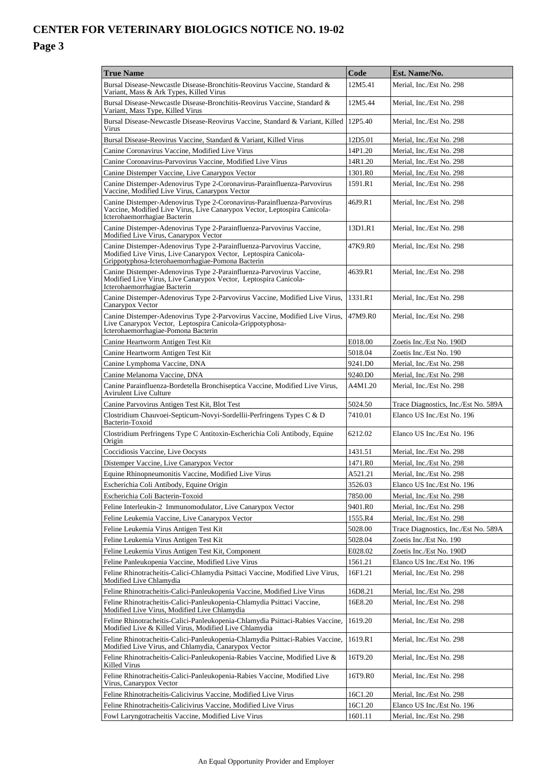| <b>True Name</b>                                                                                                                                                                              | Code                 | Est. Name/No.                        |
|-----------------------------------------------------------------------------------------------------------------------------------------------------------------------------------------------|----------------------|--------------------------------------|
| Bursal Disease-Newcastle Disease-Bronchitis-Reovirus Vaccine, Standard &<br>Variant, Mass & Ark Types, Killed Virus                                                                           | 12M5.41              | Merial, Inc./Est No. 298             |
| Bursal Disease-Newcastle Disease-Bronchitis-Reovirus Vaccine, Standard &<br>Variant, Mass Type, Killed Virus                                                                                  | 12M5.44              | Merial, Inc./Est No. 298             |
| Bursal Disease-Newcastle Disease-Reovirus Vaccine, Standard & Variant, Killed<br>Virus                                                                                                        | 12P <sub>5</sub> .40 | Merial, Inc./Est No. 298             |
| Bursal Disease-Reovirus Vaccine, Standard & Variant, Killed Virus                                                                                                                             | 12D5.01              | Merial, Inc./Est No. 298             |
| Canine Coronavirus Vaccine, Modified Live Virus                                                                                                                                               | 14P1.20              | Merial, Inc./Est No. 298             |
| Canine Coronavirus-Parvovirus Vaccine, Modified Live Virus                                                                                                                                    | 14R1.20              | Merial, Inc./Est No. 298             |
| Canine Distemper Vaccine, Live Canarypox Vector                                                                                                                                               | 1301.R0              | Merial, Inc./Est No. 298             |
| Canine Distemper-Adenovirus Type 2-Coronavirus-Parainfluenza-Parvovirus<br>Vaccine, Modified Live Virus, Canarypox Vector                                                                     | 1591.R1              | Merial, Inc./Est No. 298             |
| Canine Distemper-Adenovirus Type 2-Coronavirus-Parainfluenza-Parvovirus<br>Vaccine, Modified Live Virus, Live Canarypox Vector, Leptospira Canicola-<br>Icterohaemorrhagiae Bacterin          | 46J9.R1              | Merial, Inc./Est No. 298             |
| Canine Distemper-Adenovirus Type 2-Parainfluenza-Parvovirus Vaccine,<br>Modified Live Virus, Canarypox Vector                                                                                 | 13D1.R1              | Merial, Inc./Est No. 298             |
| Canine Distemper-Adenovirus Type 2-Parainfluenza-Parvovirus Vaccine,<br>Modified Live Virus, Live Canarypox Vector, Leptospira Canicola-<br>Grippotyphosa-Icterohaemorrhagiae-Pomona Bacterin | 47K9.R0              | Merial, Inc./Est No. 298             |
| Canine Distemper-Adenovirus Type 2-Parainfluenza-Parvovirus Vaccine,<br>Modified Live Virus, Live Canarypox Vector, Leptospira Canicola-<br>Icterohaemorrhagiae Bacterin                      | 4639.R1              | Merial. Inc./Est No. 298             |
| Canine Distemper-Adenovirus Type 2-Parvovirus Vaccine, Modified Live Virus,<br>Canarvpox Vector                                                                                               | 1331.R1              | Merial, Inc./Est No. 298             |
| Canine Distemper-Adenovirus Type 2-Parvovirus Vaccine, Modified Live Virus,<br>Live Canarypox Vector, Leptospira Canicola-Grippotyphosa-<br>Icterohaemorrhagiae-Pomona Bacterin               | 47M9.R0              | Merial, Inc./Est No. 298             |
| Canine Heartworm Antigen Test Kit                                                                                                                                                             | E018.00              | Zoetis Inc./Est No. 190D             |
| Canine Heartworm Antigen Test Kit                                                                                                                                                             | 5018.04              | Zoetis Inc./Est No. 190              |
| Canine Lymphoma Vaccine, DNA                                                                                                                                                                  | 9241.D0              | Merial, Inc./Est No. 298             |
| Canine Melanoma Vaccine, DNA                                                                                                                                                                  | 9240.DO              | Merial, Inc./Est No. 298             |
| Canine Parainfluenza-Bordetella Bronchiseptica Vaccine, Modified Live Virus,<br><b>Avirulent Live Culture</b>                                                                                 | A4M1.20              | Merial, Inc./Est No. 298             |
| Canine Parvovirus Antigen Test Kit, Blot Test                                                                                                                                                 | 5024.50              | Trace Diagnostics, Inc./Est No. 589A |
| Clostridium Chauvoei-Septicum-Novyi-Sordellii-Perfringens Types C & D<br>Bacterin-Toxoid                                                                                                      | 7410.01              | Elanco US Inc./Est No. 196           |
| Clostridium Perfringens Type C Antitoxin-Escherichia Coli Antibody, Equine<br>Origin                                                                                                          | 6212.02              | Elanco US Inc./Est No. 196           |
| Coccidiosis Vaccine, Live Oocysts                                                                                                                                                             | 1431.51              | Merial, Inc./Est No. 298             |
| Distemper Vaccine, Live Canarypox Vector                                                                                                                                                      | 1471.R0              | Merial, Inc./Est No. 298             |
| Equine Rhinopneumonitis Vaccine, Modified Live Virus                                                                                                                                          | A521.21              | Merial, Inc./Est No. 298             |
| Escherichia Coli Antibody, Equine Origin                                                                                                                                                      | 3526.03              | Elanco US Inc./Est No. 196           |
| Escherichia Coli Bacterin-Toxoid                                                                                                                                                              | 7850.00              | Merial, Inc./Est No. 298             |
| Feline Interleukin-2 Immunomodulator, Live Canarypox Vector                                                                                                                                   | 9401.R0              | Merial, Inc./Est No. 298             |
| Feline Leukemia Vaccine, Live Canarypox Vector                                                                                                                                                | 1555.R4              | Merial, Inc./Est No. 298             |
| Feline Leukemia Virus Antigen Test Kit                                                                                                                                                        | 5028.00              | Trace Diagnostics, Inc./Est No. 589A |
| Feline Leukemia Virus Antigen Test Kit                                                                                                                                                        | 5028.04              | Zoetis Inc./Est No. 190              |
| Feline Leukemia Virus Antigen Test Kit, Component                                                                                                                                             | E028.02              | Zoetis Inc./Est No. 190D             |
| Feline Panleukopenia Vaccine, Modified Live Virus                                                                                                                                             | 1561.21              | Elanco US Inc./Est No. 196           |
| Feline Rhinotracheitis-Calici-Chlamydia Psittaci Vaccine, Modified Live Virus,<br>Modified Live Chlamydia                                                                                     | 16F1.21              | Merial, Inc./Est No. 298             |
| Feline Rhinotracheitis-Calici-Panleukopenia Vaccine, Modified Live Virus                                                                                                                      | 16D8.21              | Merial, Inc./Est No. 298             |
| Feline Rhinotracheitis-Calici-Panleukopenia-Chlamydia Psittaci Vaccine,<br>Modified Live Virus, Modified Live Chlamydia                                                                       | 16E8.20              | Merial, Inc./Est No. 298             |
| Feline Rhinotracheitis-Calici-Panleukopenia-Chlamydia Psittaci-Rabies Vaccine,<br>Modified Live & Killed Virus, Modified Live Chlamydia                                                       | 1619.20              | Merial, Inc./Est No. 298             |
| Feline Rhinotracheitis-Calici-Panleukopenia-Chlamydia Psittaci-Rabies Vaccine,<br>Modified Live Virus, and Chlamydia, Canarypox Vector                                                        | 1619.R1              | Merial, Inc./Est No. 298             |
| Feline Rhinotracheitis-Calici-Panleukopenia-Rabies Vaccine, Modified Live &<br>Killed Virus                                                                                                   | 16T9.20              | Merial, Inc./Est No. 298             |
| Feline Rhinotracheitis-Calici-Panleukopenia-Rabies Vaccine, Modified Live<br>Virus, Canarypox Vector                                                                                          | 16T9.R0              | Merial, Inc./Est No. 298             |
| Feline Rhinotracheitis-Calicivirus Vaccine, Modified Live Virus                                                                                                                               | 16C1.20              | Merial, Inc./Est No. 298             |
| Feline Rhinotracheitis-Calicivirus Vaccine, Modified Live Virus                                                                                                                               | 16C1.20              | Elanco US Inc./Est No. 196           |
| Fowl Laryngotracheitis Vaccine, Modified Live Virus                                                                                                                                           | 1601.11              | Merial, Inc./Est No. 298             |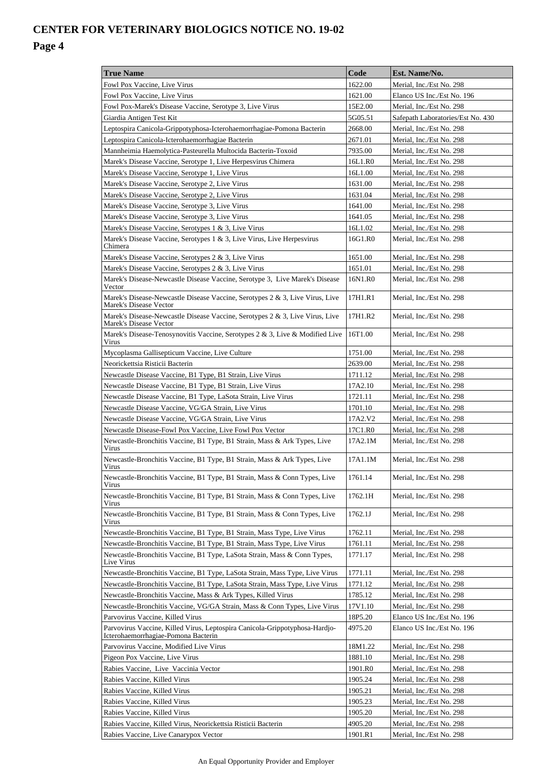| <b>True Name</b>                                                                                                   | Code    | Est. Name/No.                     |
|--------------------------------------------------------------------------------------------------------------------|---------|-----------------------------------|
| Fowl Pox Vaccine, Live Virus                                                                                       | 1622.00 | Merial, Inc./Est No. 298          |
| Fowl Pox Vaccine, Live Virus                                                                                       | 1621.00 | Elanco US Inc./Est No. 196        |
| Fowl Pox-Marek's Disease Vaccine, Serotype 3, Live Virus                                                           | 15E2.00 | Merial, Inc./Est No. 298          |
| Giardia Antigen Test Kit                                                                                           | 5G05.51 | Safepath Laboratories/Est No. 430 |
| Leptospira Canicola-Grippotyphosa-Icterohaemorrhagiae-Pomona Bacterin                                              | 2668.00 | Merial, Inc./Est No. 298          |
| Leptospira Canicola-Icterohaemorrhagiae Bacterin                                                                   | 2671.01 | Merial, Inc./Est No. 298          |
| Mannheimia Haemolytica-Pasteurella Multocida Bacterin-Toxoid                                                       | 7935.00 | Merial, Inc./Est No. 298          |
| Marek's Disease Vaccine, Serotype 1, Live Herpesvirus Chimera                                                      | 16L1.R0 | Merial, Inc./Est No. 298          |
| Marek's Disease Vaccine, Serotype 1, Live Virus                                                                    | 16L1.00 | Merial, Inc./Est No. 298          |
| Marek's Disease Vaccine, Serotype 2, Live Virus                                                                    | 1631.00 | Merial, Inc./Est No. 298          |
| Marek's Disease Vaccine, Serotype 2, Live Virus                                                                    | 1631.04 | Merial, Inc./Est No. 298          |
| Marek's Disease Vaccine, Serotype 3, Live Virus                                                                    | 1641.00 | Merial, Inc./Est No. 298          |
| Marek's Disease Vaccine, Serotype 3, Live Virus                                                                    | 1641.05 | Merial, Inc./Est No. 298          |
| Marek's Disease Vaccine, Serotypes 1 & 3, Live Virus                                                               | 16L1.02 | Merial, Inc./Est No. 298          |
| Marek's Disease Vaccine, Serotypes 1 & 3, Live Virus, Live Herpesvirus<br>Chimera                                  | 16G1.R0 | Merial, Inc./Est No. 298          |
| Marek's Disease Vaccine, Serotypes 2 & 3, Live Virus                                                               | 1651.00 | Merial, Inc./Est No. 298          |
| Marek's Disease Vaccine, Serotypes 2 & 3, Live Virus                                                               | 1651.01 | Merial, Inc./Est No. 298          |
| Marek's Disease-Newcastle Disease Vaccine, Serotype 3, Live Marek's Disease<br>Vector                              | 16N1.R0 | Merial, Inc./Est No. 298          |
| Marek's Disease-Newcastle Disease Vaccine, Serotypes 2 & 3, Live Virus, Live<br>Marek's Disease Vector             | 17H1.R1 | Merial, Inc./Est No. 298          |
| Marek's Disease-Newcastle Disease Vaccine, Serotypes 2 & 3, Live Virus, Live<br>Marek's Disease Vector             | 17H1.R2 | Merial, Inc./Est No. 298          |
| Marek's Disease-Tenosynovitis Vaccine, Serotypes 2 & 3, Live & Modified Live<br>Virus                              | 16T1.00 | Merial, Inc./Est No. 298          |
| Mycoplasma Gallisepticum Vaccine, Live Culture                                                                     | 1751.00 | Merial, Inc./Est No. 298          |
| Neorickettsia Risticii Bacterin                                                                                    | 2639.00 | Merial, Inc./Est No. 298          |
| Newcastle Disease Vaccine, B1 Type, B1 Strain, Live Virus                                                          | 1711.12 | Merial, Inc./Est No. 298          |
| Newcastle Disease Vaccine, B1 Type, B1 Strain, Live Virus                                                          | 17A2.10 | Merial, Inc./Est No. 298          |
| Newcastle Disease Vaccine, B1 Type, LaSota Strain, Live Virus                                                      | 1721.11 | Merial, Inc./Est No. 298          |
| Newcastle Disease Vaccine, VG/GA Strain, Live Virus                                                                | 1701.10 | Merial, Inc./Est No. 298          |
| Newcastle Disease Vaccine, VG/GA Strain, Live Virus                                                                | 17A2.V2 | Merial. Inc./Est No. 298          |
| Newcastle Disease-Fowl Pox Vaccine, Live Fowl Pox Vector                                                           | 17C1.R0 | Merial, Inc./Est No. 298          |
| Newcastle-Bronchitis Vaccine, B1 Type, B1 Strain, Mass & Ark Types, Live<br>Virus                                  | 17A2.1M | Merial, Inc./Est No. 298          |
| Newcastle-Bronchitis Vaccine, B1 Type, B1 Strain, Mass & Ark Types, Live<br>Virus                                  | 17A1.1M | Merial, Inc./Est No. 298          |
| Newcastle-Bronchitis Vaccine, B1 Type, B1 Strain, Mass & Conn Types, Live<br>Virus                                 | 1761.14 | Merial, Inc./Est No. 298          |
| Newcastle-Bronchitis Vaccine, B1 Type, B1 Strain, Mass & Conn Types, Live<br>Virus                                 | 1762.1H | Merial, Inc./Est No. 298          |
| Newcastle-Bronchitis Vaccine, B1 Type, B1 Strain, Mass & Conn Types, Live<br>Virus                                 | 1762.1J | Merial, Inc./Est No. 298          |
| Newcastle-Bronchitis Vaccine, B1 Type, B1 Strain, Mass Type, Live Virus                                            | 1762.11 | Merial, Inc./Est No. 298          |
| Newcastle-Bronchitis Vaccine, B1 Type, B1 Strain, Mass Type, Live Virus                                            | 1761.11 | Merial, Inc./Est No. 298          |
| Newcastle-Bronchitis Vaccine, B1 Type, LaSota Strain, Mass & Conn Types,<br>Live Virus                             | 1771.17 | Merial, Inc./Est No. 298          |
| Newcastle-Bronchitis Vaccine, B1 Type, LaSota Strain, Mass Type, Live Virus                                        | 1771.11 | Merial, Inc./Est No. 298          |
| Newcastle-Bronchitis Vaccine, B1 Type, LaSota Strain, Mass Type, Live Virus                                        | 1771.12 | Merial, Inc./Est No. 298          |
| Newcastle-Bronchitis Vaccine, Mass & Ark Types, Killed Virus                                                       | 1785.12 | Merial, Inc./Est No. 298          |
| Newcastle-Bronchitis Vaccine, VG/GA Strain, Mass & Conn Types, Live Virus                                          | 17V1.10 | Merial, Inc./Est No. 298          |
| Parvovirus Vaccine, Killed Virus                                                                                   | 18P5.20 | Elanco US Inc./Est No. 196        |
| Parvovirus Vaccine, Killed Virus, Leptospira Canicola-Grippotyphosa-Hardjo-<br>Icterohaemorrhagiae-Pomona Bacterin | 4975.20 | Elanco US Inc./Est No. 196        |
| Parvovirus Vaccine, Modified Live Virus                                                                            | 18M1.22 | Merial, Inc./Est No. 298          |
| Pigeon Pox Vaccine, Live Virus                                                                                     | 1881.10 | Merial, Inc./Est No. 298          |
| Rabies Vaccine, Live Vaccinia Vector                                                                               | 1901.R0 | Merial, Inc./Est No. 298          |
| Rabies Vaccine, Killed Virus                                                                                       | 1905.24 | Merial, Inc./Est No. 298          |
| Rabies Vaccine, Killed Virus                                                                                       | 1905.21 | Merial, Inc./Est No. 298          |
| Rabies Vaccine, Killed Virus                                                                                       | 1905.23 | Merial, Inc./Est No. 298          |
| Rabies Vaccine, Killed Virus                                                                                       | 1905.20 | Merial, Inc./Est No. 298          |
| Rabies Vaccine, Killed Virus, Neorickettsia Risticii Bacterin                                                      | 4905.20 | Merial, Inc./Est No. 298          |
| Rabies Vaccine, Live Canarypox Vector                                                                              | 1901.R1 | Merial, Inc./Est No. 298          |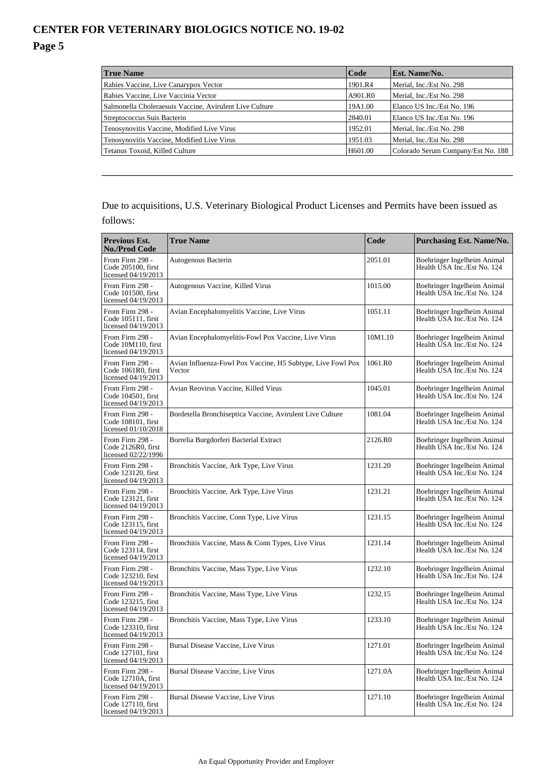#### **True Name Code Est. Name/No.** Rabies Vaccine, Live Canarypox Vector 1901.R4 Merial, Inc./Est No. 298 Rabies Vaccine, Live Vaccinia Vector A901.R0 Merial, Inc./Est No. 298 Salmonella Choleraesuis Vaccine, Avirulent Live Culture 19A1.00 Elanco US Inc./Est No. 196 Streptococcus Suis Bacterin 2840.01 Elanco US Inc./Est No. 196 Tenosynovitis Vaccine, Modified Live Virus 1952.01 Merial, Inc./Est No. 298 Tenosynovitis Vaccine, Modified Live Virus 1951.03 Merial, Inc./Est No. 298 Tetanus Toxoid, Killed Culture **H601.00** Colorado Serum Company/Est No. 188

\_\_\_\_\_\_\_\_\_\_\_\_\_\_\_\_\_\_\_\_\_\_\_\_\_\_\_\_\_\_\_\_\_\_\_\_\_\_\_\_\_\_\_\_\_\_\_\_\_\_\_\_\_\_\_\_\_\_\_\_\_\_\_\_

### Due to acquisitions, U.S. Veterinary Biological Product Licenses and Permits have been issued as follows:

| Previous Est.<br><b>No./Prod Code</b>                          | <b>True Name</b>                                                      | Code    | Purchasing Est. Name/No.                                   |
|----------------------------------------------------------------|-----------------------------------------------------------------------|---------|------------------------------------------------------------|
| From Firm 298 -<br>Code 205100, first<br>licensed 04/19/2013   | Autogenous Bacterin                                                   | 2051.01 | Boehringer Ingelheim Animal<br>Health USA Inc./Est No. 124 |
| From Firm 298 -<br>Code 101500, first<br>licensed $04/19/2013$ | Autogenous Vaccine, Killed Virus                                      | 1015.00 | Boehringer Ingelheim Animal<br>Health USA Inc./Est No. 124 |
| From Firm 298 -<br>Code 105111, first<br>licensed 04/19/2013   | Avian Encephalomyelitis Vaccine, Live Virus                           | 1051.11 | Boehringer Ingelheim Animal<br>Health USA Inc./Est No. 124 |
| From Firm 298 -<br>Code 10M110, first<br>licensed 04/19/2013   | Avian Encephalomyelitis-Fowl Pox Vaccine, Live Virus                  | 10M1.10 | Boehringer Ingelheim Animal<br>Health USA Inc./Est No. 124 |
| From Firm 298 -<br>Code 1061R0, first<br>licensed 04/19/2013   | Avian Influenza-Fowl Pox Vaccine, H5 Subtype, Live Fowl Pox<br>Vector | 1061.R0 | Boehringer Ingelheim Animal<br>Health USA Inc./Est No. 124 |
| From Firm 298 -<br>Code 104501, first<br>licensed 04/19/2013   | Avian Reovirus Vaccine, Killed Virus                                  | 1045.01 | Boehringer Ingelheim Animal<br>Health USA Inc./Est No. 124 |
| From Firm 298 -<br>Code 108101, first<br>licensed 01/10/2018   | Bordetella Bronchiseptica Vaccine, Avirulent Live Culture             | 1081.04 | Boehringer Ingelheim Animal<br>Health USA Inc./Est No. 124 |
| From Firm 298 -<br>Code 2126R0, first<br>licensed 02/22/1996   | Borrelia Burgdorferi Bacterial Extract                                | 2126.R0 | Boehringer Ingelheim Animal<br>Health USA Inc./Est No. 124 |
| From Firm 298 -<br>Code 123120, first<br>licensed 04/19/2013   | Bronchitis Vaccine, Ark Type, Live Virus                              | 1231.20 | Boehringer Ingelheim Animal<br>Health USA Inc./Est No. 124 |
| From Firm 298 -<br>Code 123121, first<br>licensed 04/19/2013   | Bronchitis Vaccine, Ark Type, Live Virus                              | 1231.21 | Boehringer Ingelheim Animal<br>Health USA Inc./Est No. 124 |
| From Firm 298 -<br>Code 123115, first<br>licensed 04/19/2013   | Bronchitis Vaccine, Conn Type, Live Virus                             | 1231.15 | Boehringer Ingelheim Animal<br>Health USA Inc./Est No. 124 |
| From Firm 298 -<br>Code 123114, first<br>licensed 04/19/2013   | Bronchitis Vaccine, Mass & Conn Types, Live Virus                     | 1231.14 | Boehringer Ingelheim Animal<br>Health USA Inc./Est No. 124 |
| From Firm 298 -<br>Code 123210, first<br>licensed 04/19/2013   | Bronchitis Vaccine, Mass Type, Live Virus                             | 1232.10 | Boehringer Ingelheim Animal<br>Health USA Inc./Est No. 124 |
| From Firm 298 -<br>Code 123215, first<br>licensed 04/19/2013   | Bronchitis Vaccine, Mass Type, Live Virus                             | 1232.15 | Boehringer Ingelheim Animal<br>Health USA Inc./Est No. 124 |
| From Firm 298 -<br>Code 123310, first<br>licensed 04/19/2013   | Bronchitis Vaccine, Mass Type, Live Virus                             | 1233.10 | Boehringer Ingelheim Animal<br>Health USA Inc./Est No. 124 |
| From Firm 298 -<br>Code 127101, first<br>licensed 04/19/2013   | Bursal Disease Vaccine, Live Virus                                    | 1271.01 | Boehringer Ingelheim Animal<br>Health USA Inc./Est No. 124 |
| From Firm 298 -<br>Code 12710A, first<br>licensed 04/19/2013   | Bursal Disease Vaccine, Live Virus                                    | 1271.0A | Boehringer Ingelheim Animal<br>Health USA Inc./Est No. 124 |
| From Firm 298 -<br>Code 127110, first<br>licensed 04/19/2013   | Bursal Disease Vaccine, Live Virus                                    | 1271.10 | Boehringer Ingelheim Animal<br>Health USA Inc./Est No. 124 |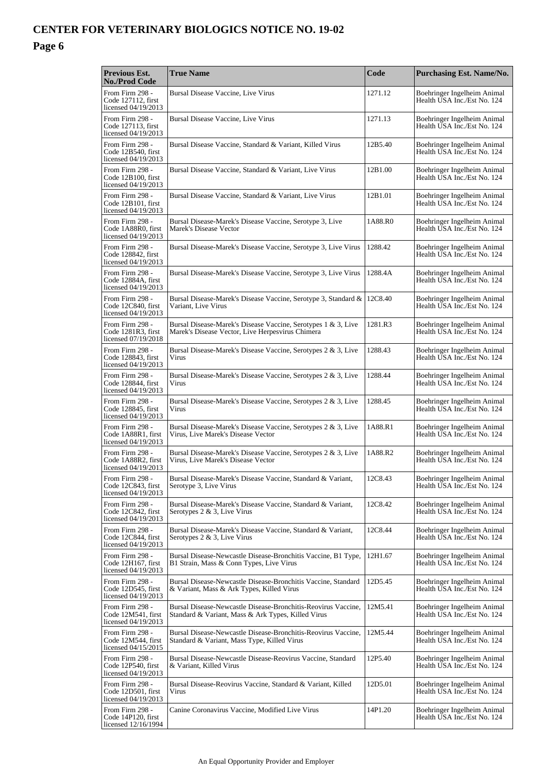| Previous Est.<br><b>No./Prod Code</b>                        | <b>True Name</b>                                                                                                    | Code    | <b>Purchasing Est. Name/No.</b>                            |
|--------------------------------------------------------------|---------------------------------------------------------------------------------------------------------------------|---------|------------------------------------------------------------|
| From Firm 298 -<br>Code 127112. first<br>licensed 04/19/2013 | Bursal Disease Vaccine, Live Virus                                                                                  | 1271.12 | Boehringer Ingelheim Animal<br>Health USA Inc./Est No. 124 |
| From Firm 298 -<br>Code 127113, first<br>licensed 04/19/2013 | Bursal Disease Vaccine, Live Virus                                                                                  | 1271.13 | Boehringer Ingelheim Animal<br>Health USA Inc./Est No. 124 |
| From Firm 298 -<br>Code 12B540, first<br>licensed 04/19/2013 | Bursal Disease Vaccine, Standard & Variant, Killed Virus                                                            | 12B5.40 | Boehringer Ingelheim Animal<br>Health USA Inc./Est No. 124 |
| From Firm 298 -<br>Code 12B100. first<br>licensed 04/19/2013 | Bursal Disease Vaccine, Standard & Variant, Live Virus                                                              | 12B1.00 | Boehringer Ingelheim Animal<br>Health USA Inc./Est No. 124 |
| From Firm 298 -<br>Code 12B101, first<br>licensed 04/19/2013 | Bursal Disease Vaccine, Standard & Variant, Live Virus                                                              | 12B1.01 | Boehringer Ingelheim Animal<br>Health USA Inc./Est No. 124 |
| From Firm 298 -<br>Code 1A88R0, first<br>licensed 04/19/2013 | Bursal Disease-Marek's Disease Vaccine, Serotype 3, Live<br>Marek's Disease Vector                                  | 1A88.R0 | Boehringer Ingelheim Animal<br>Health USA Inc./Est No. 124 |
| From Firm 298 -<br>Code 128842, first<br>licensed 04/19/2013 | Bursal Disease-Marek's Disease Vaccine, Serotype 3, Live Virus                                                      | 1288.42 | Boehringer Ingelheim Animal<br>Health USA Inc./Est No. 124 |
| From Firm 298 -<br>Code 12884A, first<br>licensed 04/19/2013 | Bursal Disease-Marek's Disease Vaccine, Serotype 3, Live Virus                                                      | 1288.4A | Boehringer Ingelheim Animal<br>Health USA Inc./Est No. 124 |
| From Firm 298 -<br>Code 12C840, first<br>licensed 04/19/2013 | Bursal Disease-Marek's Disease Vaccine, Serotype 3, Standard &<br>Variant, Live Virus                               | 12C8.40 | Boehringer Ingelheim Animal<br>Health USA Inc./Est No. 124 |
| From Firm 298 -<br>Code 1281R3. first<br>licensed 07/19/2018 | Bursal Disease-Marek's Disease Vaccine, Serotypes 1 & 3, Live<br>Marek's Disease Vector, Live Herpesvirus Chimera   | 1281.R3 | Boehringer Ingelheim Animal<br>Health USA Inc./Est No. 124 |
| From Firm 298 -<br>Code 128843, first<br>licensed 04/19/2013 | Bursal Disease-Marek's Disease Vaccine, Serotypes 2 & 3, Live<br>Virus                                              | 1288.43 | Boehringer Ingelheim Animal<br>Health USA Inc./Est No. 124 |
| From Firm 298 -<br>Code 128844, first<br>licensed 04/19/2013 | Bursal Disease-Marek's Disease Vaccine, Serotypes 2 & 3, Live<br>Virus                                              | 1288.44 | Boehringer Ingelheim Animal<br>Health USA Inc./Est No. 124 |
| From Firm 298 -<br>Code 128845, first<br>licensed 04/19/2013 | Bursal Disease-Marek's Disease Vaccine, Serotypes 2 & 3, Live<br>Virus                                              | 1288.45 | Boehringer Ingelheim Animal<br>Health USA Inc./Est No. 124 |
| From Firm 298 -<br>Code 1A88R1, first<br>licensed 04/19/2013 | Bursal Disease-Marek's Disease Vaccine, Serotypes 2 & 3, Live<br>Virus, Live Marek's Disease Vector                 | 1A88.R1 | Boehringer Ingelheim Animal<br>Health USA Inc./Est No. 124 |
| From Firm 298 -<br>Code 1A88R2, first<br>licensed 04/19/2013 | Bursal Disease-Marek's Disease Vaccine, Serotypes 2 & 3, Live<br>Virus, Live Marek's Disease Vector                 | 1A88.R2 | Boehringer Ingelheim Animal<br>Health USA Inc./Est No. 124 |
| From Firm 298 -<br>Code 12C843, first<br>licensed 04/19/2013 | Bursal Disease-Marek's Disease Vaccine, Standard & Variant,<br>Serotype 3, Live Virus                               | 12C8.43 | Boehringer Ingelheim Animal<br>Health USA Inc./Est No. 124 |
| From Firm 298 -<br>Code 12C842, first<br>licensed 04/19/2013 | Bursal Disease-Marek's Disease Vaccine, Standard & Variant,<br>Serotypes 2 & 3, Live Virus                          | 12C8.42 | Boehringer Ingelheim Animal<br>Health USA Inc./Est No. 124 |
| From Firm 298 -<br>Code 12C844, first<br>licensed 04/19/2013 | Bursal Disease-Marek's Disease Vaccine, Standard & Variant,<br>Serotypes 2 & 3, Live Virus                          | 12C8.44 | Boehringer Ingelheim Animal<br>Health USA Inc./Est No. 124 |
| From Firm 298 -<br>Code 12H167, first<br>licensed 04/19/2013 | Bursal Disease-Newcastle Disease-Bronchitis Vaccine, B1 Type,<br>B1 Strain, Mass & Conn Types, Live Virus           | 12H1.67 | Boehringer Ingelheim Animal<br>Health USA Inc./Est No. 124 |
| From Firm 298 -<br>Code 12D545, first<br>licensed 04/19/2013 | Bursal Disease-Newcastle Disease-Bronchitis Vaccine, Standard<br>& Variant, Mass & Ark Types, Killed Virus          | 12D5.45 | Boehringer Ingelheim Animal<br>Health USA Inc./Est No. 124 |
| From Firm 298 -<br>Code 12M541, first<br>licensed 04/19/2013 | Bursal Disease-Newcastle Disease-Bronchitis-Reovirus Vaccine,<br>Standard & Variant, Mass & Ark Types, Killed Virus | 12M5.41 | Boehringer Ingelheim Animal<br>Health USA Inc./Est No. 124 |
| From Firm 298 -<br>Code 12M544, first<br>licensed 04/15/2015 | Bursal Disease-Newcastle Disease-Bronchitis-Reovirus Vaccine,<br>Standard & Variant, Mass Type, Killed Virus        | 12M5.44 | Boehringer Ingelheim Animal<br>Health USA Inc./Est No. 124 |
| From Firm 298 -<br>Code 12P540, first<br>licensed 04/19/2013 | Bursal Disease-Newcastle Disease-Reovirus Vaccine, Standard<br>& Variant, Killed Virus                              | 12P5.40 | Boehringer Ingelheim Animal<br>Health USA Inc./Est No. 124 |
| From Firm 298 -<br>Code 12D501, first<br>licensed 04/19/2013 | Bursal Disease-Reovirus Vaccine, Standard & Variant, Killed<br>Virus                                                | 12D5.01 | Boehringer Ingelheim Animal<br>Health USA Inc./Est No. 124 |
| From Firm 298 -<br>Code 14P120, first<br>licensed 12/16/1994 | Canine Coronavirus Vaccine, Modified Live Virus                                                                     | 14P1.20 | Boehringer Ingelheim Animal<br>Health USA Inc./Est No. 124 |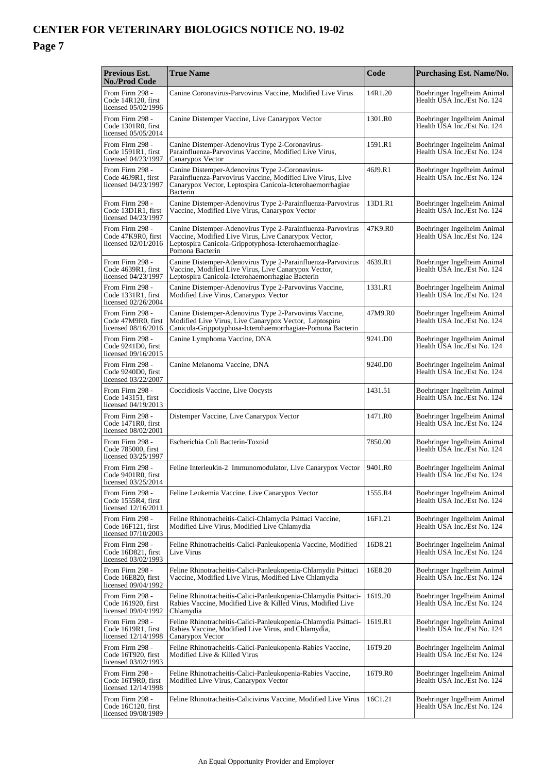| <b>Previous Est.</b><br><b>No./Prod Code</b>                   | <b>True Name</b>                                                                                                                                                                                 | Code    | Purchasing Est. Name/No.                                   |
|----------------------------------------------------------------|--------------------------------------------------------------------------------------------------------------------------------------------------------------------------------------------------|---------|------------------------------------------------------------|
| From Firm 298 -<br>Code 14R120, first<br>licensed 05/02/1996   | Canine Coronavirus-Parvovirus Vaccine, Modified Live Virus                                                                                                                                       | 14R1.20 | Boehringer Ingelheim Animal<br>Health USA Inc./Est No. 124 |
| From Firm 298 -<br>Code 1301R0, first<br>licensed 05/05/2014   | Canine Distemper Vaccine, Live Canarypox Vector                                                                                                                                                  | 1301.R0 | Boehringer Ingelheim Animal<br>Health USA Inc./Est No. 124 |
| From Firm 298 -<br>Code 1591R1, first<br>licensed 04/23/1997   | Canine Distemper-Adenovirus Type 2-Coronavirus-<br>Parainfluenza-Parvovirus Vaccine, Modified Live Virus,<br>Canarypox Vector                                                                    | 1591.R1 | Boehringer Ingelheim Animal<br>Health USA Inc./Est No. 124 |
| From Firm 298 -<br>Code 46J9R1, first<br>licensed 04/23/1997   | Canine Distemper-Adenovirus Type 2-Coronavirus-<br>Parainfluenza-Parvovirus Vaccine, Modified Live Virus, Live<br>Canarypox Vector, Leptospira Canicola-Icterohaemorrhagiae<br>Bacterin          | 46J9.R1 | Boehringer Ingelheim Animal<br>Health USA Inc./Est No. 124 |
| From Firm 298 -<br>Code 13D1R1, first<br>licensed 04/23/1997   | Canine Distemper-Adenovirus Type 2-Parainfluenza-Parvovirus<br>Vaccine, Modified Live Virus, Canarypox Vector                                                                                    | 13D1.R1 | Boehringer Ingelheim Animal<br>Health USA Inc./Est No. 124 |
| From Firm 298 -<br>Code 47K9R0, first<br>licensed 02/01/2016   | Canine Distemper-Adenovirus Type 2-Parainfluenza-Parvovirus<br>Vaccine, Modified Live Virus, Live Canarypox Vector,<br>Leptospira Canicola-Grippotyphosa-Icterohaemorrhagiae-<br>Pomona Bacterin | 47K9.R0 | Boehringer Ingelheim Animal<br>Health USA Inc./Est No. 124 |
| From Firm 298 -<br>Code 4639R1, first<br>licensed 04/23/1997   | Canine Distemper-Adenovirus Type 2-Parainfluenza-Parvovirus<br>Vaccine, Modified Live Virus, Live Canarypox Vector,<br>Leptospira Canicola-Icterohaemorrhagiae Bacterin                          | 4639.R1 | Boehringer Ingelheim Animal<br>Health USA Inc./Est No. 124 |
| From Firm 298 -<br>Code 1331R1, first<br>licensed 02/26/2004   | Canine Distemper-Adenovirus Type 2-Parvovirus Vaccine,<br>Modified Live Virus, Canarypox Vector                                                                                                  | 1331.R1 | Boehringer Ingelheim Animal<br>Health USA Inc./Est No. 124 |
| From Firm 298 -<br>Code 47M9R0, first<br>licensed 08/16/2016   | Canine Distemper-Adenovirus Type 2-Parvovirus Vaccine,<br>Modified Live Virus, Live Canarypox Vector, Leptospira<br>Canicola-Grippotyphosa-Icterohaemorrhagiae-Pomona Bacterin                   | 47M9.R0 | Boehringer Ingelheim Animal<br>Health USA Inc./Est No. 124 |
| From Firm 298 -<br>Code 9241D0, first<br>licensed 09/16/2015   | Canine Lymphoma Vaccine, DNA                                                                                                                                                                     | 9241.D0 | Boehringer Ingelheim Animal<br>Health USA Inc./Est No. 124 |
| From Firm 298 -<br>Code 9240D0, first<br>licensed 03/22/2007   | Canine Melanoma Vaccine, DNA                                                                                                                                                                     | 9240.DO | Boehringer Ingelheim Animal<br>Health USA Inc./Est No. 124 |
| From Firm 298 -<br>Code 143151, first<br>licensed 04/19/2013   | Coccidiosis Vaccine, Live Oocysts                                                                                                                                                                | 1431.51 | Boehringer Ingelheim Animal<br>Health USA Inc./Est No. 124 |
| From Firm 298 -<br>Code 1471R0, first<br>licensed 08/02/2001   | Distemper Vaccine, Live Canarypox Vector                                                                                                                                                         | 1471.R0 | Boehringer Ingelheim Animal<br>Health USA Inc./Est No. 124 |
| From Firm 298 -<br>Code 785000, first<br>licensed 03/25/1997   | Escherichia Coli Bacterin-Toxoid                                                                                                                                                                 | 7850.00 | Boehringer Ingelheim Animal<br>Health USA Inc./Est No. 124 |
| From Firm 298 -<br>Code 9401R0, first<br>licensed $03/25/2014$ | Feline Interleukin-2 Immunomodulator, Live Canarypox Vector                                                                                                                                      | 9401.R0 | Boehringer Ingelheim Animal<br>Health USA Inc./Est No. 124 |
| From Firm 298 -<br>Code 1555R4. first<br>licensed 12/16/2011   | Feline Leukemia Vaccine, Live Canarypox Vector                                                                                                                                                   | 1555.R4 | Boehringer Ingelheim Animal<br>Health USA Inc./Est No. 124 |
| From Firm 298 -<br>Code 16F121, first<br>licensed 07/10/2003   | Feline Rhinotracheitis-Calici-Chlamydia Psittaci Vaccine,<br>Modified Live Virus, Modified Live Chlamydia                                                                                        | 16F1.21 | Boehringer Ingelheim Animal<br>Health USA Inc./Est No. 124 |
| From Firm 298 -<br>Code 16D821, first<br>licensed 03/02/1993   | Feline Rhinotracheitis-Calici-Panleukopenia Vaccine, Modified<br>Live Virus                                                                                                                      | 16D8.21 | Boehringer Ingelheim Animal<br>Health USA Inc./Est No. 124 |
| From Firm 298 -<br>Code 16E820, first<br>licensed 09/04/1992   | Feline Rhinotracheitis-Calici-Panleukopenia-Chlamydia Psittaci<br>Vaccine, Modified Live Virus, Modified Live Chlamydia                                                                          | 16E8.20 | Boehringer Ingelheim Animal<br>Health USA Inc./Est No. 124 |
| From Firm 298 -<br>Code 161920, first<br>licensed 09/04/1992   | Feline Rhinotracheitis-Calici-Panleukopenia-Chlamydia Psittaci-<br>Rabies Vaccine, Modified Live & Killed Virus, Modified Live<br>Chlamydia                                                      | 1619.20 | Boehringer Ingelheim Animal<br>Health USA Inc./Est No. 124 |
| From Firm 298 -<br>Code 1619R1, first<br>licensed 12/14/1998   | Feline Rhinotracheitis-Calici-Panleukopenia-Chlamydia Psittaci-<br>Rabies Vaccine, Modified Live Virus, and Chlamydia,<br>Canarypox Vector                                                       | 1619.R1 | Boehringer Ingelheim Animal<br>Health USA Inc./Est No. 124 |
| From Firm 298 -<br>Code 16T920, first<br>licensed 03/02/1993   | Feline Rhinotracheitis-Calici-Panleukopenia-Rabies Vaccine,<br>Modified Live & Killed Virus                                                                                                      | 16T9.20 | Boehringer Ingelheim Animal<br>Health USA Inc./Est No. 124 |
| From Firm 298 -<br>Code 16T9R0, first<br>licensed 12/14/1998   | Feline Rhinotracheitis-Calici-Panleukopenia-Rabies Vaccine,<br>Modified Live Virus, Canarypox Vector                                                                                             | 16T9.R0 | Boehringer Ingelheim Animal<br>Health USA Inc./Est No. 124 |
| From Firm 298 -<br>Code 16C120, first<br>licensed 09/08/1989   | Feline Rhinotracheitis-Calicivirus Vaccine, Modified Live Virus                                                                                                                                  | 16C1.21 | Boehringer Ingelheim Animal<br>Health USA Inc./Est No. 124 |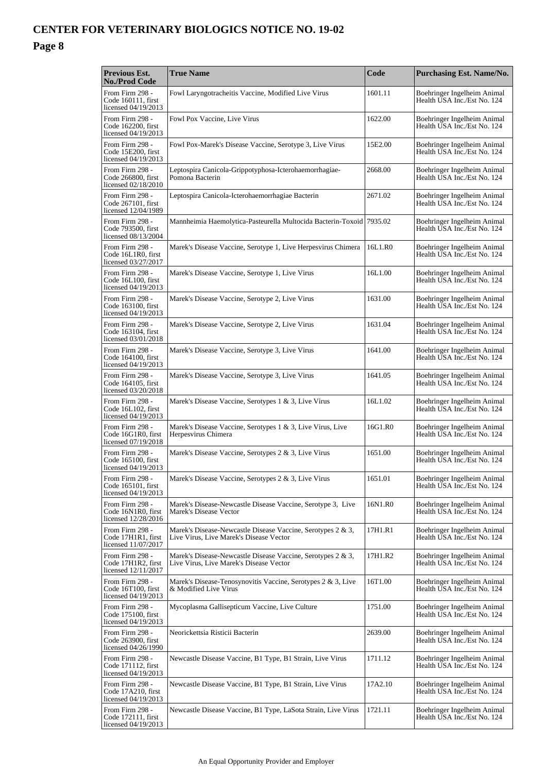| Previous Est.<br><b>No./Prod Code</b>                        | <b>True Name</b>                                                                                       | Code    | <b>Purchasing Est. Name/No.</b>                            |
|--------------------------------------------------------------|--------------------------------------------------------------------------------------------------------|---------|------------------------------------------------------------|
| From Firm 298 -<br>Code 160111, first<br>licensed 04/19/2013 | Fowl Laryngotracheitis Vaccine, Modified Live Virus                                                    | 1601.11 | Boehringer Ingelheim Animal<br>Health USA Inc./Est No. 124 |
| From Firm 298 -<br>Code 162200, first<br>licensed 04/19/2013 | Fowl Pox Vaccine, Live Virus                                                                           | 1622.00 | Boehringer Ingelheim Animal<br>Health USA Inc./Est No. 124 |
| From Firm 298 -<br>Code 15E200, first<br>licensed 04/19/2013 | Fowl Pox-Marek's Disease Vaccine, Serotype 3, Live Virus                                               | 15E2.00 | Boehringer Ingelheim Animal<br>Health USA Inc./Est No. 124 |
| From Firm 298 -<br>Code 266800, first<br>licensed 02/18/2010 | Leptospira Canicola-Grippotyphosa-Icterohaemorrhagiae-<br>Pomona Bacterin                              | 2668.00 | Boehringer Ingelheim Animal<br>Health USA Inc./Est No. 124 |
| From Firm 298 -<br>Code 267101, first<br>licensed 12/04/1989 | Leptospira Canicola-Icterohaemorrhagiae Bacterin                                                       | 2671.02 | Boehringer Ingelheim Animal<br>Health USA Inc./Est No. 124 |
| From Firm 298 -<br>Code 793500, first<br>licensed 08/13/2004 | Mannheimia Haemolytica-Pasteurella Multocida Bacterin-Toxoid 7935.02                                   |         | Boehringer Ingelheim Animal<br>Health USA Inc./Est No. 124 |
| From Firm 298 -<br>Code 16L1R0, first<br>licensed 03/27/2017 | Marek's Disease Vaccine, Serotype 1, Live Herpesvirus Chimera                                          | 16L1.R0 | Boehringer Ingelheim Animal<br>Health USA Inc./Est No. 124 |
| From Firm 298 -<br>Code 16L100, first<br>licensed 04/19/2013 | Marek's Disease Vaccine, Serotype 1, Live Virus                                                        | 16L1.00 | Boehringer Ingelheim Animal<br>Health USA Inc./Est No. 124 |
| From Firm 298 -<br>Code 163100, first<br>licensed 04/19/2013 | Marek's Disease Vaccine, Serotype 2, Live Virus                                                        | 1631.00 | Boehringer Ingelheim Animal<br>Health USA Inc./Est No. 124 |
| From Firm 298 -<br>Code 163104, first<br>licensed 03/01/2018 | Marek's Disease Vaccine, Serotype 2, Live Virus                                                        | 1631.04 | Boehringer Ingelheim Animal<br>Health USA Inc./Est No. 124 |
| From Firm 298 -<br>Code 164100, first<br>licensed 04/19/2013 | Marek's Disease Vaccine, Serotype 3, Live Virus                                                        | 1641.00 | Boehringer Ingelheim Animal<br>Health USA Inc./Est No. 124 |
| From Firm 298 -<br>Code 164105, first<br>licensed 03/20/2018 | Marek's Disease Vaccine, Serotype 3, Live Virus                                                        | 1641.05 | Boehringer Ingelheim Animal<br>Health USA Inc./Est No. 124 |
| From Firm 298 -<br>Code 16L102, first<br>licensed 04/19/2013 | Marek's Disease Vaccine, Serotypes 1 & 3, Live Virus                                                   | 16L1.02 | Boehringer Ingelheim Animal<br>Health USA Inc./Est No. 124 |
| From Firm 298 -<br>Code 16G1R0, first<br>licensed 07/19/2018 | Marek's Disease Vaccine, Serotypes 1 & 3, Live Virus, Live<br>Herpesvirus Chimera                      | 16G1.R0 | Boehringer Ingelheim Animal<br>Health USA Inc./Est No. 124 |
| From Firm 298 -<br>Code 165100, first<br>licensed 04/19/2013 | Marek's Disease Vaccine, Serotypes 2 & 3, Live Virus                                                   | 1651.00 | Boehringer Ingelheim Animal<br>Health USA Inc./Est No. 124 |
| From Firm 298 -<br>Code 165101, first<br>licensed 04/19/2013 | Marek's Disease Vaccine, Serotypes 2 & 3, Live Virus                                                   | 1651.01 | Boehringer Ingelheim Animal<br>Health USA Inc./Est No. 124 |
| From Firm 298 -<br>Code 16N1R0, first<br>licensed 12/28/2016 | Marek's Disease-Newcastle Disease Vaccine, Serotype 3, Live<br>Marek's Disease Vector                  | 16N1.R0 | Boehringer Ingelheim Animal<br>Health USA Inc./Est No. 124 |
| From Firm 298 -<br>Code 17H1R1, first<br>licensed 11/07/2017 | Marek's Disease-Newcastle Disease Vaccine, Serotypes 2 & 3,<br>Live Virus, Live Marek's Disease Vector | 17H1.R1 | Boehringer Ingelheim Animal<br>Health USA Inc./Est No. 124 |
| From Firm 298 -<br>Code 17H1R2, first<br>licensed 12/11/2017 | Marek's Disease-Newcastle Disease Vaccine, Serotypes 2 & 3,<br>Live Virus, Live Marek's Disease Vector | 17H1.R2 | Boehringer Ingelheim Animal<br>Health USA Inc./Est No. 124 |
| From Firm 298 -<br>Code 16T100, first<br>licensed 04/19/2013 | Marek's Disease-Tenosynovitis Vaccine, Serotypes 2 & 3, Live<br>& Modified Live Virus                  | 16T1.00 | Boehringer Ingelheim Animal<br>Health USA Inc./Est No. 124 |
| From Firm 298 -<br>Code 175100, first<br>licensed 04/19/2013 | Mycoplasma Gallisepticum Vaccine, Live Culture                                                         | 1751.00 | Boehringer Ingelheim Animal<br>Health USA Inc./Est No. 124 |
| From Firm 298 -<br>Code 263900, first<br>licensed 04/26/1990 | Neorickettsia Risticii Bacterin                                                                        | 2639.00 | Boehringer Ingelheim Animal<br>Health USA Inc./Est No. 124 |
| From Firm 298 -<br>Code 171112, first<br>licensed 04/19/2013 | Newcastle Disease Vaccine, B1 Type, B1 Strain, Live Virus                                              | 1711.12 | Boehringer Ingelheim Animal<br>Health USA Inc./Est No. 124 |
| From Firm 298 -<br>Code 17A210, first<br>licensed 04/19/2013 | Newcastle Disease Vaccine, B1 Type, B1 Strain, Live Virus                                              | 17A2.10 | Boehringer Ingelheim Animal<br>Health USA Inc./Est No. 124 |
| From Firm 298 -<br>Code 172111, first<br>licensed 04/19/2013 | Newcastle Disease Vaccine, B1 Type, LaSota Strain, Live Virus                                          | 1721.11 | Boehringer Ingelheim Animal<br>Health USA Inc./Est No. 124 |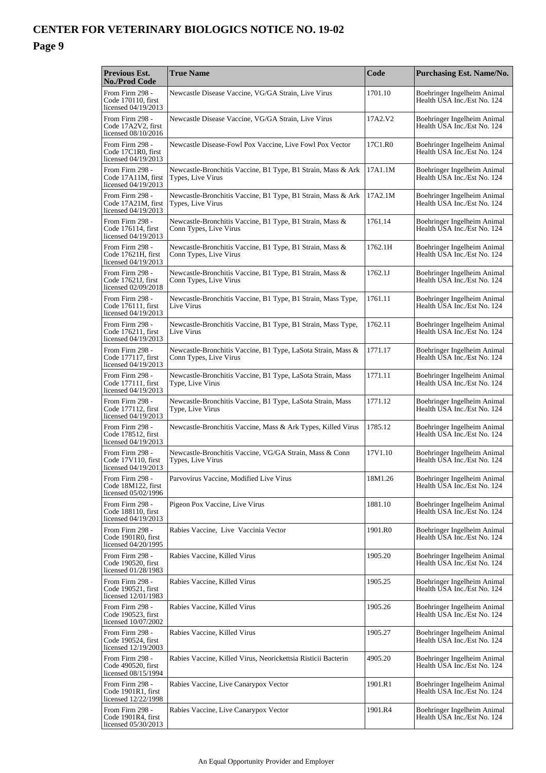| <b>Previous Est.</b><br><b>No./Prod Code</b>                 | <b>True Name</b>                                                                       | Code    | <b>Purchasing Est. Name/No.</b>                            |
|--------------------------------------------------------------|----------------------------------------------------------------------------------------|---------|------------------------------------------------------------|
| From Firm 298 -<br>Code 170110, first<br>licensed 04/19/2013 | Newcastle Disease Vaccine, VG/GA Strain, Live Virus                                    | 1701.10 | Boehringer Ingelheim Animal<br>Health USA Inc./Est No. 124 |
| From Firm 298 -<br>Code 17A2V2, first<br>licensed 08/10/2016 | Newcastle Disease Vaccine, VG/GA Strain, Live Virus                                    | 17A2.V2 | Boehringer Ingelheim Animal<br>Health USA Inc./Est No. 124 |
| From Firm 298 -<br>Code 17C1R0, first<br>licensed 04/19/2013 | Newcastle Disease-Fowl Pox Vaccine, Live Fowl Pox Vector                               | 17C1.R0 | Boehringer Ingelheim Animal<br>Health USA Inc./Est No. 124 |
| From Firm 298 -<br>Code 17A11M, first<br>licensed 04/19/2013 | Newcastle-Bronchitis Vaccine, B1 Type, B1 Strain, Mass & Ark<br>Types, Live Virus      | 17A1.1M | Boehringer Ingelheim Animal<br>Health USA Inc./Est No. 124 |
| From Firm 298 -<br>Code 17A21M, first<br>licensed 04/19/2013 | Newcastle-Bronchitis Vaccine, B1 Type, B1 Strain, Mass & Ark<br>Types, Live Virus      | 17A2.1M | Boehringer Ingelheim Animal<br>Health USA Inc./Est No. 124 |
| From Firm 298 -<br>Code 176114, first<br>licensed 04/19/2013 | Newcastle-Bronchitis Vaccine, B1 Type, B1 Strain, Mass &<br>Conn Types, Live Virus     | 1761.14 | Boehringer Ingelheim Animal<br>Health USA Inc./Est No. 124 |
| From Firm 298 -<br>Code 17621H. first<br>licensed 04/19/2013 | Newcastle-Bronchitis Vaccine, B1 Type, B1 Strain, Mass &<br>Conn Types, Live Virus     | 1762.1H | Boehringer Ingelheim Animal<br>Health USA Inc./Est No. 124 |
| From Firm 298 -<br>Code 17621J, first<br>licensed 02/09/2018 | Newcastle-Bronchitis Vaccine, B1 Type, B1 Strain, Mass &<br>Conn Types, Live Virus     | 1762.1J | Boehringer Ingelheim Animal<br>Health USA Inc./Est No. 124 |
| From Firm 298 -<br>Code 176111, first<br>licensed 04/19/2013 | Newcastle-Bronchitis Vaccine, B1 Type, B1 Strain, Mass Type,<br>Live Virus             | 1761.11 | Boehringer Ingelheim Animal<br>Health USA Inc./Est No. 124 |
| From Firm 298 -<br>Code 176211, first<br>licensed 04/19/2013 | Newcastle-Bronchitis Vaccine, B1 Type, B1 Strain, Mass Type,<br>Live Virus             | 1762.11 | Boehringer Ingelheim Animal<br>Health USA Inc./Est No. 124 |
| From Firm 298 -<br>Code 177117, first<br>licensed 04/19/2013 | Newcastle-Bronchitis Vaccine, B1 Type, LaSota Strain, Mass &<br>Conn Types, Live Virus | 1771.17 | Boehringer Ingelheim Animal<br>Health USA Inc./Est No. 124 |
| From Firm 298 -<br>Code 177111, first<br>licensed 04/19/2013 | Newcastle-Bronchitis Vaccine, B1 Type, LaSota Strain, Mass<br>Type, Live Virus         | 1771.11 | Boehringer Ingelheim Animal<br>Health USA Inc./Est No. 124 |
| From Firm 298 -<br>Code 177112, first<br>licensed 04/19/2013 | Newcastle-Bronchitis Vaccine, B1 Type, LaSota Strain, Mass<br>Type, Live Virus         | 1771.12 | Boehringer Ingelheim Animal<br>Health USA Inc./Est No. 124 |
| From Firm 298 -<br>Code 178512, first<br>licensed 04/19/2013 | Newcastle-Bronchitis Vaccine, Mass & Ark Types, Killed Virus                           | 1785.12 | Boehringer Ingelheim Animal<br>Health USA Inc./Est No. 124 |
| From Firm 298 -<br>Code 17V110, first<br>licensed 04/19/2013 | Newcastle-Bronchitis Vaccine, VG/GA Strain, Mass & Conn<br>Types, Live Virus           | 17V1.10 | Boehringer Ingelheim Animal<br>Health USA Inc./Est No. 124 |
| From Firm 298 -<br>Code 18M122, first<br>licensed 05/02/1996 | Parvovirus Vaccine, Modified Live Virus                                                | 18M1.26 | Boehringer Ingelheim Animal<br>Health USA Inc./Est No. 124 |
| From Firm 298 -<br>Code 188110, first<br>licensed 04/19/2013 | Pigeon Pox Vaccine, Live Virus                                                         | 1881.10 | Boehringer Ingelheim Animal<br>Health USA Inc./Est No. 124 |
| From Firm 298 -<br>Code 1901R0, first<br>licensed 04/20/1995 | Rabies Vaccine, Live Vaccinia Vector                                                   | 1901.R0 | Boehringer Ingelheim Animal<br>Health USA Inc./Est No. 124 |
| From Firm 298 -<br>Code 190520, first<br>licensed 01/28/1983 | Rabies Vaccine, Killed Virus                                                           | 1905.20 | Boehringer Ingelheim Animal<br>Health USA Inc./Est No. 124 |
| From Firm 298 -<br>Code 190521. first<br>licensed 12/01/1983 | Rabies Vaccine, Killed Virus                                                           | 1905.25 | Boehringer Ingelheim Animal<br>Health USA Inc./Est No. 124 |
| From Firm 298 -<br>Code 190523, first<br>licensed 10/07/2002 | Rabies Vaccine, Killed Virus                                                           | 1905.26 | Boehringer Ingelheim Animal<br>Health USA Inc./Est No. 124 |
| From Firm 298 -<br>Code 190524, first<br>licensed 12/19/2003 | Rabies Vaccine, Killed Virus                                                           | 1905.27 | Boehringer Ingelheim Animal<br>Health USA Inc./Est No. 124 |
| From Firm 298 -<br>Code 490520, first<br>licensed 08/15/1994 | Rabies Vaccine, Killed Virus, Neorickettsia Risticii Bacterin                          | 4905.20 | Boehringer Ingelheim Animal<br>Health USA Inc./Est No. 124 |
| From Firm 298 -<br>Code 1901R1, first<br>licensed 12/22/1998 | Rabies Vaccine, Live Canarypox Vector                                                  | 1901.R1 | Boehringer Ingelheim Animal<br>Health USA Inc./Est No. 124 |
| From Firm 298 -<br>Code 1901R4, first<br>licensed 05/30/2013 | Rabies Vaccine, Live Canarypox Vector                                                  | 1901.R4 | Boehringer Ingelheim Animal<br>Health USA Inc./Est No. 124 |